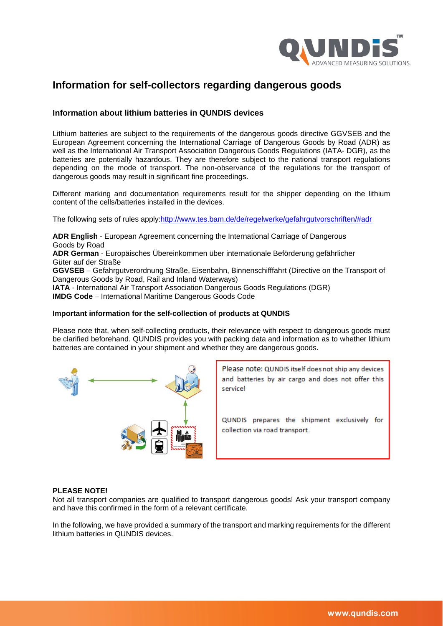

# **Information for self-collectors regarding dangerous goods**

#### **Information about lithium batteries in QUNDIS devices**

Lithium batteries are subject to the requirements of the dangerous goods directive GGVSEB and the European Agreement concerning the International Carriage of Dangerous Goods by Road (ADR) as well as the International Air Transport Association Dangerous Goods Regulations (IATA- DGR), as the batteries are potentially hazardous. They are therefore subject to the national transport regulations depending on the mode of transport. The non-observance of the regulations for the transport of dangerous goods may result in significant fine proceedings.

Different marking and documentation requirements result for the shipper depending on the lithium content of the cells/batteries installed in the devices.

The following sets of rules apply[:http://www.tes.bam.de/de/regelwerke/gefahrgutvorschriften/#adr](http://www.tes.bam.de/de/regelwerke/gefahrgutvorschriften/#adr)

**ADR English** - European Agreement concerning the International Carriage of Dangerous Goods by Road **ADR German** - Europäisches Übereinkommen über internationale Beförderung gefährlicher Güter auf der Straße **GGVSEB** – Gefahrgutverordnung Straße, Eisenbahn, Binnenschifffahrt (Directive on the Transport of Dangerous Goods by Road, Rail and Inland Waterways) **IATA** - International Air Transport Association Dangerous Goods Regulations (DGR) **IMDG Code** – International Maritime Dangerous Goods Code

### **Important information for the self-collection of products at QUNDIS**

Please note that, when self-collecting products, their relevance with respect to dangerous goods must be clarified beforehand. QUNDIS provides you with packing data and information as to whether lithium batteries are contained in your shipment and whether they are dangerous goods.



Please note: QUNDIS itself does not ship any devices and batteries by air cargo and does not offer this service!

QUNDIS prepares the shipment exclusively for collection via road transport.

#### **PLEASE NOTE!**

Not all transport companies are qualified to transport dangerous goods! Ask your transport company and have this confirmed in the form of a relevant certificate.

In the following, we have provided a summary of the transport and marking requirements for the different lithium batteries in QUNDIS devices.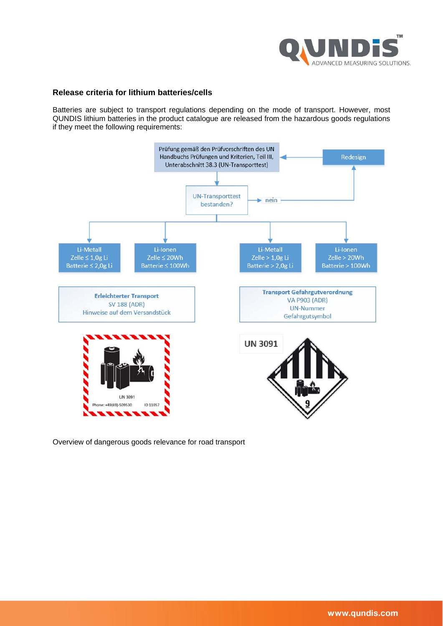

#### **Release criteria for lithium batteries/cells**

Batteries are subject to transport regulations depending on the mode of transport. However, most QUNDIS lithium batteries in the product catalogue are released from the hazardous goods regulations if they meet the following requirements:



Overview of dangerous goods relevance for road transport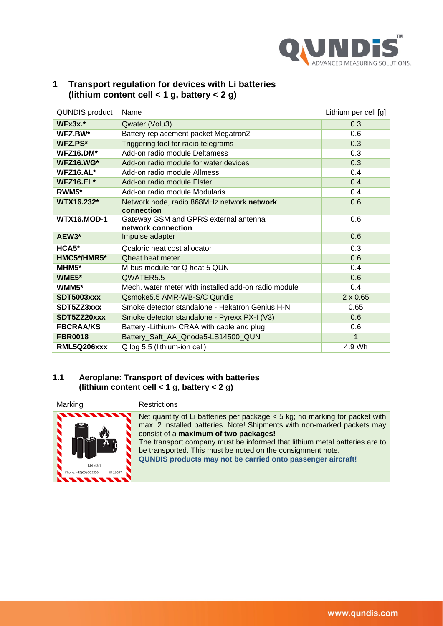

| Transport regulation for devices with Li batteries |
|----------------------------------------------------|
| (lithium content cell < 1 g, battery < 2 g)        |

| QUNDIS product     | Name                                                        | Lithium per cell [g] |
|--------------------|-------------------------------------------------------------|----------------------|
| $WFx3x.*$          | Qwater (Volu3)                                              | 0.3                  |
| WFZ.BW*            | Battery replacement packet Megatron2                        | 0.6                  |
| WFZ.PS*            | Triggering tool for radio telegrams                         | 0.3                  |
| WFZ16.DM*          | Add-on radio module Deltamess                               | 0.3                  |
| <b>WFZ16.WG*</b>   | Add-on radio module for water devices                       | 0.3                  |
| $WFZ16.AL*$        | Add-on radio module Allmess                                 | 0.4                  |
| WFZ16.EL*          | Add-on radio module Elster                                  | 0.4                  |
| RWM5*              | Add-on radio module Modularis                               | 0.4                  |
| WTX16.232*         | Network node, radio 868MHz network network<br>connection    | 0.6                  |
| <b>WTX16.MOD-1</b> | Gateway GSM and GPRS external antenna<br>network connection | 0.6                  |
| AEW <sub>3</sub> * | Impulse adapter                                             | 0.6                  |
| $HCA5*$            | <b>Qcaloric heat cost allocator</b>                         | 0.3                  |
| HMC5*/HMR5*        | <b>Oheat heat meter</b>                                     | 0.6                  |
| $MHM5*$            | M-bus module for Q heat 5 QUN                               | 0.4                  |
| WME5*              | QWATER5.5                                                   | 0.6                  |
| $WMM5*$            | Mech, water meter with installed add-on radio module        | 0.4                  |
| <b>SDT5003xxx</b>  | Osmoke 5.5 AMR-WB-S/C Qundis                                | $2 \times 0.65$      |
| SDT5ZZ3xxx         | Smoke detector standalone - Hekatron Genius H-N             | 0.65                 |
| SDT5ZZ20xxx        | Smoke detector standalone - Pyrexx PX-I (V3)                | 0.6                  |
| <b>FBCRAA/KS</b>   | Battery - Lithium- CRAA with cable and plug                 | 0.6                  |
| <b>FBR0018</b>     | Battery_Saft_AA_Qnode5-LS14500_QUN                          | 1                    |
| RML5Q206xxx        | Q log 5.5 (lithium-ion cell)                                | 4.9 Wh               |

### **1.1 Aeroplane: Transport of devices with batteries (lithium content cell < 1 g, battery < 2 g)**



Net quantity of Li batteries per package < 5 kg; no marking for packet with max. 2 installed batteries. Note! Shipments with non-marked packets may consist of a **maximum of two packages!**

The transport company must be informed that lithium metal batteries are to be transported. This must be noted on the consignment note.

**QUNDIS products may not be carried onto passenger aircraft!**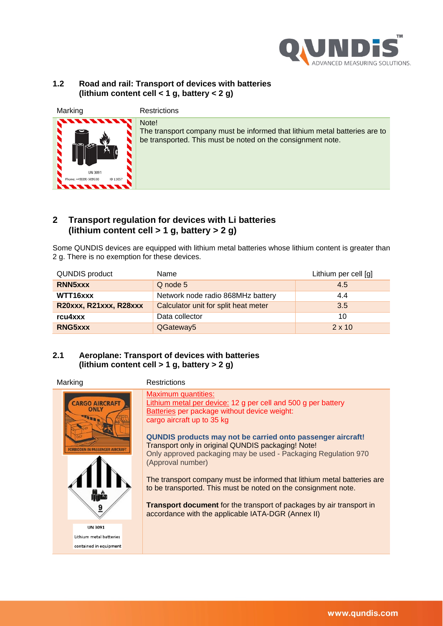

#### **1.2 Road and rail: Transport of devices with batteries (lithium content cell < 1 g, battery < 2 g)**

| Marking                                             | Restrictions                                                                                                                                       |
|-----------------------------------------------------|----------------------------------------------------------------------------------------------------------------------------------------------------|
| حته<br>UN 3091<br>Phone: +49(69)-509530<br>ID 11057 | Note!<br>The transport company must be informed that lithium metal batteries are to<br>be transported. This must be noted on the consignment note. |

## **2 Transport regulation for devices with Li batteries (lithium content cell > 1 g, battery > 2 g)**

Some QUNDIS devices are equipped with lithium metal batteries whose lithium content is greater than 2 g. There is no exemption for these devices.

| <b>QUNDIS product</b>  | Name                                 | Lithium per cell [g] |
|------------------------|--------------------------------------|----------------------|
| RNN <sub>5</sub> xxx   | Q node 5                             | 4.5                  |
| WTT16xxx               | Network node radio 868MHz battery    | 4.4                  |
| R20xxx, R21xxx, R28xxx | Calculator unit for split heat meter | 3.5                  |
| rcu4xxx                | Data collector                       | 10                   |
| RNG5xxx                | QGateway5                            | $2 \times 10$        |

## **2.1 Aeroplane: Transport of devices with batteries (lithium content cell > 1 g, battery > 2 g)**

Marking **Restrictions** Maximum quantities: **ARGO AIRCRAFT** Lithium metal per device: 12 g per cell and 500 g per battery Batteries per package without device weight: cargo aircraft up to 35 kg **QUNDIS products may not be carried onto passenger aircraft!** Transport only in original QUNDIS packaging! Note! FORBIDDEN IN PASSENGER AIRCRAF Only approved packaging may be used - Packaging Regulation 970 (Approval number) The transport company must be informed that lithium metal batteries are to be transported. This must be noted on the consignment note. **Transport document** for the transport of packages by air transport in 9 accordance with the applicable IATA-DGR (Annex II)**IIN 3091** Lithium metal batteries contained in equipment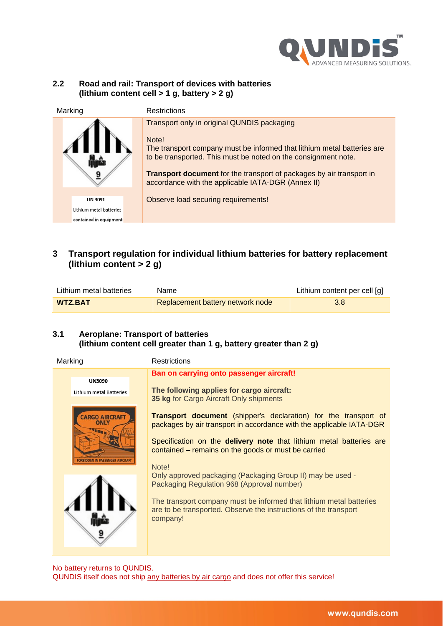

### **2.2 Road and rail: Transport of devices with batteries (lithium content cell > 1 g, battery > 2 g)**

| Marking                 | <b>Restrictions</b>                                                                                                                                                                                                                                                                                                             |
|-------------------------|---------------------------------------------------------------------------------------------------------------------------------------------------------------------------------------------------------------------------------------------------------------------------------------------------------------------------------|
|                         | Transport only in original QUNDIS packaging<br>Note!<br>The transport company must be informed that lithium metal batteries are<br>to be transported. This must be noted on the consignment note.<br>Transport document for the transport of packages by air transport in<br>accordance with the applicable IATA-DGR (Annex II) |
| <b>UN 3091</b>          | Observe load securing requirements!                                                                                                                                                                                                                                                                                             |
| Lithium metal batteries |                                                                                                                                                                                                                                                                                                                                 |
| contained in equipment  |                                                                                                                                                                                                                                                                                                                                 |

## **3 Transport regulation for individual lithium batteries for battery replacement (lithium content > 2 g)**

| Lithium metal batteries | Name                             | Lithium content per cell [g] |
|-------------------------|----------------------------------|------------------------------|
| <b>WTZ.BAT</b>          | Replacement battery network node | 3.8                          |

## **3.1 Aeroplane: Transport of batteries (lithium content cell greater than 1 g, battery greater than 2 g)**

| Marking |                                                                                  | <b>Restrictions</b>                                                                                                                                                                                                                                                                |
|---------|----------------------------------------------------------------------------------|------------------------------------------------------------------------------------------------------------------------------------------------------------------------------------------------------------------------------------------------------------------------------------|
|         | <b>UN3090</b><br>Lithium metal Batteries<br><b>CARGO AIRCRAFT</b><br><b>ONLY</b> | Ban on carrying onto passenger aircraft!<br>The following applies for cargo aircraft:<br>35 kg for Cargo Aircraft Only shipments<br><b>Transport document</b> (shipper's declaration) for the transport of<br>packages by air transport in accordance with the applicable IATA-DGR |
|         | ORBIDDEN IN PASSENGER AIRCRAI                                                    | Specification on the delivery note that lithium metal batteries are<br>contained – remains on the goods or must be carried<br>Note!<br>Only approved packaging (Packaging Group II) may be used -                                                                                  |
|         |                                                                                  | Packaging Regulation 968 (Approval number)<br>The transport company must be informed that lithium metal batteries<br>are to be transported. Observe the instructions of the transport<br>company!                                                                                  |
|         |                                                                                  |                                                                                                                                                                                                                                                                                    |

No battery returns to QUNDIS. QUNDIS itself does not ship any batteries by air cargo and does not offer this service!